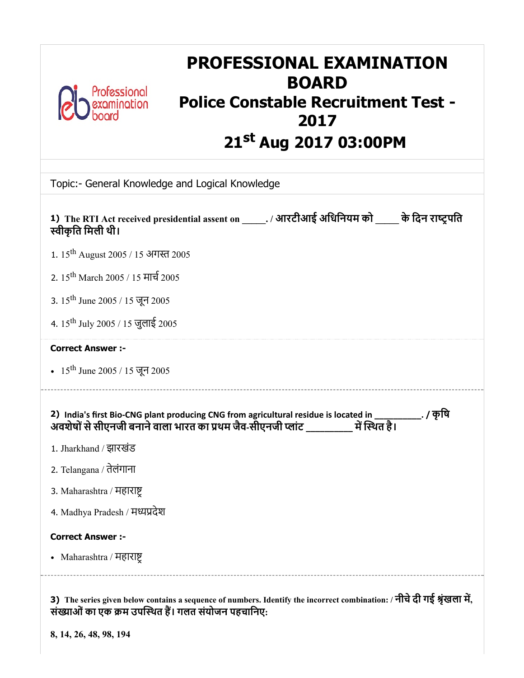

# PROFESSIONAL EXAMINATION BOARD Professional<br>
examination **Police Constable Recruitment Test -**<br> **Police Constable Recruitment Test -**2017 21<sup>st</sup> Aug 2017 03:00PM

| Topic:- General Knowledge and Logical Knowledge                                                                                                                                                   |
|---------------------------------------------------------------------------------------------------------------------------------------------------------------------------------------------------|
| 1) The RTI Act received presidential assent on ______. / आरटीआई अधिनियम को______ के दिन राष्ट्रपति<br>स्वीकृति मिली थी।                                                                           |
| 1. 15 <sup>th</sup> August 2005 / 15 अगस्त 2005                                                                                                                                                   |
| 2. 15 <sup>th</sup> March 2005 / 15 मार्च 2005                                                                                                                                                    |
| 3. $15^{\text{th}}$ June 2005 / 15 जून 2005                                                                                                                                                       |
| 4. 15 <sup>th</sup> July 2005 / 15 जुलाई 2005                                                                                                                                                     |
| <b>Correct Answer :-</b>                                                                                                                                                                          |
| • 15 <sup>th</sup> June 2005 / 15 जून 2005                                                                                                                                                        |
| 2) India's first Bio-CNG plant producing CNG from agricultural residue is located in __________. / कृषि<br>अवशेषों से सीएनजी बनाने वाला भारत का प्रथम जैव-सीएनजी प्लांट ___________ में स्थित है। |
| 1. Jharkhand / झारखंड                                                                                                                                                                             |
| 2. Telangana / तेलंगाना                                                                                                                                                                           |
| 3. Maharashtra / महाराष्ट्र                                                                                                                                                                       |
| 4. Madhya Pradesh / मध्यप्रदेश                                                                                                                                                                    |
| <b>Correct Answer :-</b>                                                                                                                                                                          |
| • Maharashtra / महाराष्ट्र                                                                                                                                                                        |
| 3) The series given below contains a sequence of numbers. Identify the incorrect combination: / नीचे दी गई श्रृंखला में,<br>संख्याओं का एक क्रम उपस्थित हैं। गलत संयोजन पहचानिए:                  |

8, 14, 26, 48, 98, 194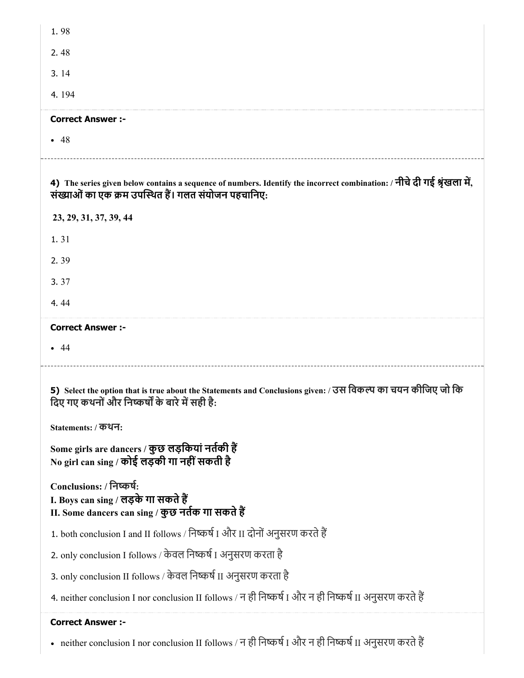| 1.98                                                                                                                                                                             |
|----------------------------------------------------------------------------------------------------------------------------------------------------------------------------------|
| 2.48                                                                                                                                                                             |
| 3.14                                                                                                                                                                             |
| 4.194                                                                                                                                                                            |
| <b>Correct Answer :-</b>                                                                                                                                                         |
| • 48                                                                                                                                                                             |
|                                                                                                                                                                                  |
| 4) The series given below contains a sequence of numbers. Identify the incorrect combination: / नीचे दी गई श्रृंखला में,<br>संख्याओं का एक क्रम उपस्थित हैं। गलत संयोजन पहचानिए: |
| 23, 29, 31, 37, 39, 44                                                                                                                                                           |
| 1.31                                                                                                                                                                             |
| 2.39                                                                                                                                                                             |
| 3.37                                                                                                                                                                             |
| 4.44                                                                                                                                                                             |
| <b>Correct Answer :-</b>                                                                                                                                                         |
| $\bullet$ 44                                                                                                                                                                     |
|                                                                                                                                                                                  |
|                                                                                                                                                                                  |
| 5) Select the option that is true about the Statements and Conclusions given: / उस विकल्प का चयन कीजिए जो कि<br>दिए गए कथनों और निष्कर्षों के बारे में सही है:                   |
| Statements: / कथन:                                                                                                                                                               |
| Some girls are dancers / कुछ लड़कियां नर्तकी हैं<br>No girl can sing / कोई लड़की गा नहीं सकती है                                                                                 |
| Conclusions: / निष्कर्षः<br>I. Boys can sing / लड़के गा सकते हैं<br>II. Some dancers can sing / कुछ नर्तक गा सकते हैं                                                            |
| 1. both conclusion I and II follows / निष्कर्ष I और II दोनों अनुसरण करते हैं                                                                                                     |
| 2. only conclusion I follows / केवल निष्कर्ष I अनुसरण करता है                                                                                                                    |
| 3. only conclusion II follows / केवल निष्कर्ष II अनुसरण करता है                                                                                                                  |
| 4. neither conclusion I nor conclusion II follows / न ही निष्कर्ष I और न ही निष्कर्ष II अनुसरण करते हैं                                                                          |

<sup>•</sup> neither conclusion I nor conclusion II follows / न ही निष्कर्ष I और न ही निष्कर्ष II अनुसरण करते हैं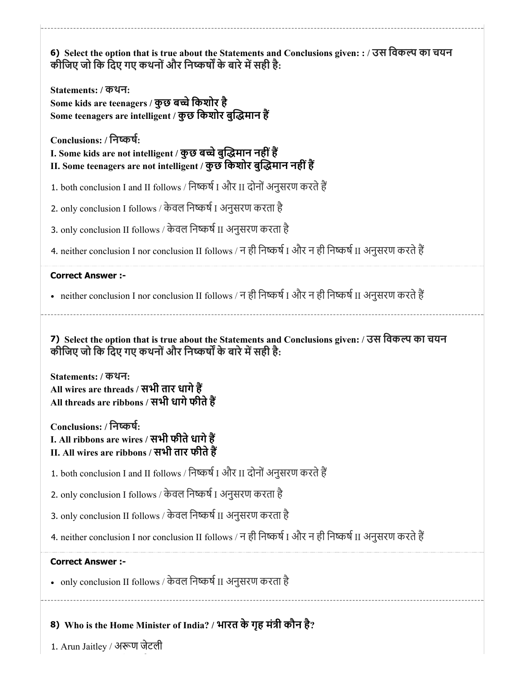6) Select the option that is true about the Statements and Conclusions given: : / उस िवक का चयन 7) Select the option that is true about the Statements and Conclusions given: / उस िवक का चयन कीजिए जो कि दिए गए कथनों और निष्कर्षों के बारे में सही है: Statements: / कथन: Some kids are teenagers / कुछ बच्चे किशोर है Some teenagers are intelligent / कुछ किशोर बुद्धिमान हैं Conclusions: / िनकष: I. Some kids are not intelligent / कुछ बच्चे बुद्धिमान नहीं हैं II. Some teenagers are not intelligent / कुछ किशोर बुद्धिमान नहीं हैं 1. both conclusion I and II follows / निष्कर्ष I और II दोनों अनुसरण करते हैं 2. only conclusion I follows / केवल निष्कर्ष I अनुसरण करता है 3. only conclusion II follows / केवल निष्कर्ष II अनुसरण करता है 4. neither conclusion I nor conclusion II follows / न ही निष्कर्ष I और न ही निष्कर्ष II अनुसरण करते हैं Correct Answer :- • neither conclusion I nor conclusion II follows / न ही निष्कर्ष I और न ही निष्कर्ष II अनुसरण करते हैं कीजिए जो कि दिए गए कथनों और निष्कर्षों के बारे में सही है: Statements: / कथन: All wires are threads / सभी तार धागेह All threads are ribbons / सभी धागे फीते हैं Conclusions: / िनकष: I. All ribbons are wires / सभी फीते धागे हैं II. All wires are ribbons / सभी तार फीतेह 1. both conclusion I and II follows / निष्कर्ष I और II दोनों अनुसरण करते हैं 2. only conclusion I follows / केवल निष्कर्ष I अनुसरण करता है 3. only conclusion II follows / केवल निष्कर्ष II अनुसरण करता है 4. neither conclusion I nor conclusion II follows / न ही निष्कर्ष I और न ही निष्कर्ष II अनुसरण करते हैं Correct Answer :- •  $\,$  only conclusion II follows / केवल निष्कर्ष II अनुसरण करता है

8) Who is the Home Minister of India? / भारत केगृह मंी कौन है?

1. Arun Jaitley / अण जेटली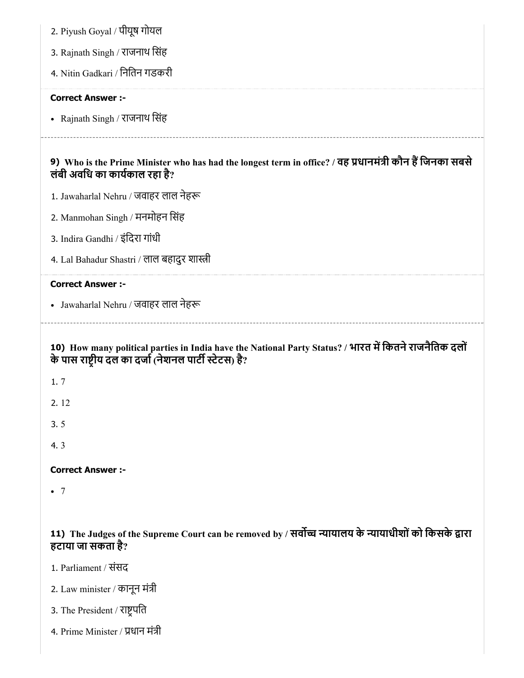| 2. Piyush Goyal / पीयूष गोयल                                                                                                                                     |
|------------------------------------------------------------------------------------------------------------------------------------------------------------------|
| 3. Rajnath Singh / राजनाथ सिंह                                                                                                                                   |
| 4. Nitin Gadkari / नितिन गडकरी                                                                                                                                   |
| <b>Correct Answer :-</b>                                                                                                                                         |
| • Rajnath Singh / राजनाथ सिंह                                                                                                                                    |
| 9) Who is the Prime Minister who has had the longest term in office? / वह प्रधानमंत्री कौन हैं जिनका सबसे<br>लंबी अवधि का कार्यकाल रहा है?                       |
| 1. Jawaharlal Nehru / जवाहर लाल नेहरू                                                                                                                            |
| 2. Manmohan Singh / मनमोहन सिंह                                                                                                                                  |
| 3. Indira Gandhi / इंदिरा गांधी                                                                                                                                  |
| 4. Lal Bahadur Shastri / लाल बहादुर शास्त्री                                                                                                                     |
| <b>Correct Answer :-</b>                                                                                                                                         |
| • Jawaharlal Nehru / जवाहर लाल नेहरू                                                                                                                             |
|                                                                                                                                                                  |
| 10) How many political parties in India have the National Party Status? / भारत में कितने राजनैतिक दलों<br>के पास राष्ट्रीय दल का दर्जा (नेशनल पार्टी स्टेटस) है? |
| 1.7                                                                                                                                                              |
| 2.12                                                                                                                                                             |
| 3.5                                                                                                                                                              |
| 4.3                                                                                                                                                              |
| <b>Correct Answer:-</b>                                                                                                                                          |
| $\bullet$ 7                                                                                                                                                      |
|                                                                                                                                                                  |
| 11) The Judges of the Supreme Court can be removed by / सर्वोच्च न्यायालय के न्यायाधीशों को किसके द्वारा<br>हटाया जा सकता है?                                    |

- 2. Law minister / कानून मंत्री
- 3. The President / राष्ट्रपति
- 4. Prime Minister / धान मंी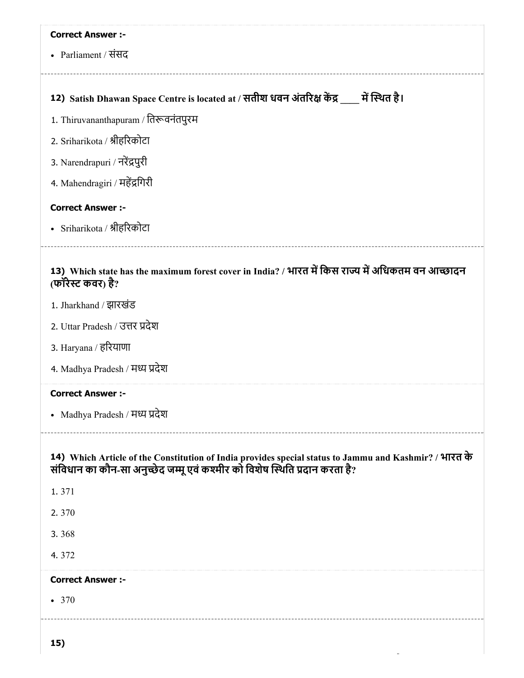| <b>Correct Answer :-</b>                                                                                                                                                              |
|---------------------------------------------------------------------------------------------------------------------------------------------------------------------------------------|
| • Parliament / संसद                                                                                                                                                                   |
|                                                                                                                                                                                       |
| 12) Satish Dhawan Space Centre is located at / सतीश धवन अंतरिक्ष केंद्र ____ में स्थित है।                                                                                            |
| 1. Thiruvananthapuram / तिरूवनंतपुरम                                                                                                                                                  |
| 2. Sriharikota / श्रीहरिकोटा                                                                                                                                                          |
| 3. Narendrapuri / नरेंद्रपुरी                                                                                                                                                         |
| 4. Mahendragiri / महेंद्रगिरी                                                                                                                                                         |
| <b>Correct Answer :-</b>                                                                                                                                                              |
| • Sriharikota / श्रीहरिकोटा                                                                                                                                                           |
| 13) Which state has the maximum forest cover in India? / भारत में किस राज्य में अधिकतम वन आच्छादन<br>(फॉरेस्ट कवर) है?                                                                |
| 1. Jharkhand / झारखंड                                                                                                                                                                 |
| 2. Uttar Pradesh / उत्तर प्रदेश                                                                                                                                                       |
| 3. Haryana / हरियाणा                                                                                                                                                                  |
| 4. Madhya Pradesh / मध्य प्रदेश                                                                                                                                                       |
| <b>Correct Answer :-</b>                                                                                                                                                              |
| • Madhya Pradesh / मध्य प्रदेश                                                                                                                                                        |
| 14) Which Article of the Constitution of India provides special status to Jammu and Kashmir? / भारत के<br>संविधान का कौन-सा अनुच्छेद जम्मू एवं कश्मीर को विशेष स्थिति प्रदान करता है? |
| 1.371                                                                                                                                                                                 |
| 2.370                                                                                                                                                                                 |
| 3.368                                                                                                                                                                                 |
| 4.372                                                                                                                                                                                 |
| <b>Correct Answer :-</b>                                                                                                                                                              |
| • 370                                                                                                                                                                                 |
| 15)                                                                                                                                                                                   |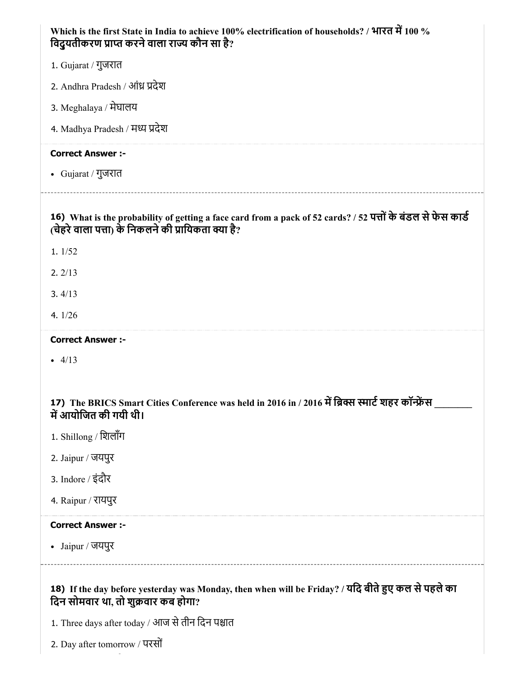| Which is the first State in India to achieve 100% electrification of households? / भारत में 100 %<br>विदुयतीकरण प्राप्त करने वाला राज्य कौन सा है?                 |
|--------------------------------------------------------------------------------------------------------------------------------------------------------------------|
| 1. Gujarat / गुजरात                                                                                                                                                |
| 2. Andhra Pradesh / आंध्र प्रदेश                                                                                                                                   |
| 3. Meghalaya / मेघालय                                                                                                                                              |
| 4. Madhya Pradesh / मध्य प्रदेश                                                                                                                                    |
| <b>Correct Answer :-</b>                                                                                                                                           |
| • Gujarat / गुजरात                                                                                                                                                 |
| 16) What is the probability of getting a face card from a pack of 52 cards? / 52 पत्तों के बंडल से फेस कार्ड<br>(चेहरे वाला पत्ता) के निकलने की प्रायिकता क्या है? |
| 1.1/52                                                                                                                                                             |
| 2.2/13                                                                                                                                                             |
| 3.4/13                                                                                                                                                             |
| 4. $1/26$                                                                                                                                                          |
| <b>Correct Answer :-</b>                                                                                                                                           |
| $-4/13$                                                                                                                                                            |
|                                                                                                                                                                    |
| 17) The BRICS Smart Cities Conference was held in 2016 in / 2016 में ब्रिक्स स्मार्ट शहर कॉन्फ्रेंस<br>में आयोजित की गयी थी।                                       |
| 1. Shillong / शिलॉंग                                                                                                                                               |
| 2. Jaipur / जयपुर                                                                                                                                                  |
| 3. Indore / इंदौर                                                                                                                                                  |
| 4. Raipur / रायपुर                                                                                                                                                 |
| <b>Correct Answer :-</b>                                                                                                                                           |
| • Jaipur / जयपुर                                                                                                                                                   |
| 18) If the day before yesterday was Monday, then when will be Friday? / यदि बीते हुए कल से पहले का<br>दिन सोमवार था, तो शुक्रवार कब होगा?                          |
| 1. Three days after today / आज से तीन दिन पश्चात                                                                                                                   |
| 2. Day after tomorrow / परसों                                                                                                                                      |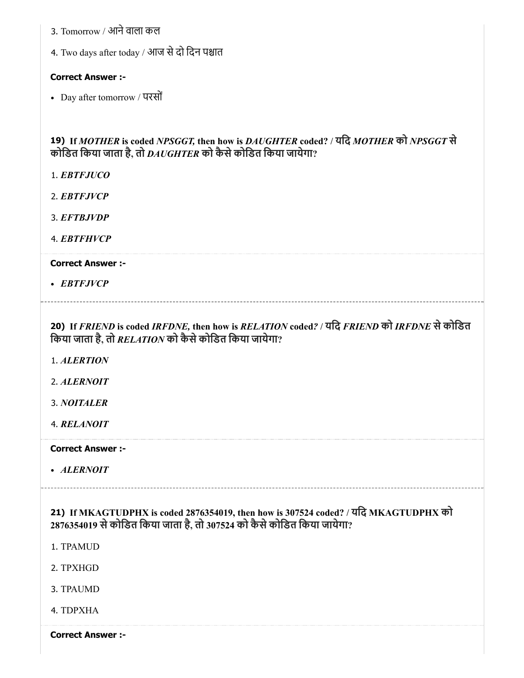- 3. Tomorrow / आनेवाला कल
- 4. Two days after today / आज से दो दिन पश्चात

# Correct Answer :-

Day after tomorrow / परसों

# 19) If *MOTHER* is coded *NPSGGT,* then how is *DAUGHTER* coded? / यिद *MOTHER* को *NPSGGT* से कोिडत िकया जाता है, तो *DAUGHTER* को कैसेकोिडत िकया जायेगा?

- 1. *EBTFJUCO*
- 2. *EBTFJVCP*
- 3. *EFTBJVDP*
- 4. *EBTFHVCP*

#### Correct Answer :-

*EBTFJVCP*

20) If *FRIEND* is coded *IRFDNE,* then how is *RELATION* coded*?* / यिद *FRIEND* को *IRFDNE* सेकोिडत िकया जाता है, तो *RELATION* को कैसेकोिडत िकया जायेगा?

- 1. *ALERTION*
- 2. *ALERNOIT*
- 3. *NOITALER*
- 4. *RELANOIT*

Correct Answer :-

*ALERNOIT*

21) If MKAGTUDPHX is coded 2876354019, then how is 307524 coded? / यिद MKAGTUDPHX को 2876354019 सेकोिडत िकया जाता है, तो 307524 को कैसेकोिडत िकया जायेगा?

- 1. TPAMUD
- 2. TPXHGD
- 3. TPAUMD
- 4. TDPXHA

Correct Answer :-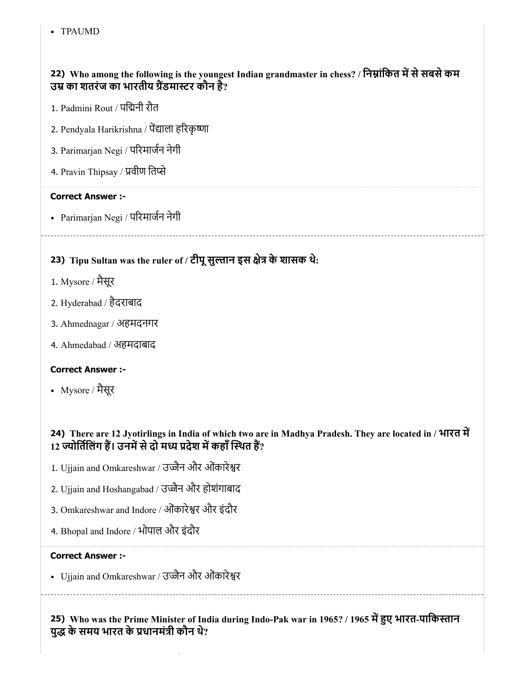TPAUMD

# 22) Who among the following is the youngest Indian grandmaster in chess? / निम्नांकित में से सबसे कम उम्र का शतरंज का भारतीय ग्रैंडमास्टर कौन हैं?

- 1. Padmini Rout / पिनी रौत
- 2. Pendyala Harikrishna / पेंद्याला हरिकृष्णा
- 3. Parimarjan Negi / परमाजन नेगी
- 4. Pravin Thipsay / प्रवीण तिप्से

#### Correct Answer :-

Parimarjan Negi / परमाजन नेगी

# 23) Tipu Sultan was the ruler of / टीपू सुल्तान इस क्षेत्र के शासक थे:

- 1. Mysore / मैसूर
- 2. Hyderabad / हैदराबाद
- 3. Ahmednagar / अहमदनगर
- 4. Ahmedabad / अहमदाबाद

# Correct Answer :-

Mysore / मैसूर

# 24) There are 12 Jyotirlings in India of which two are in Madhya Pradesh. They are located in / भारत म 12 ज्योर्तिलिंग हैं। उनमें से दो मध्य प्रदेश में कहाँ स्थित हैं?

- 1. Ujjain and Omkareshwar / उज्जैन और ओंकारेश्वर
- 2. Ujjain and Hoshangabad / उज्जैन और होशंगाबाद
- 3. Omkareshwar and Indore / ओंकारेश्वर और इंदौर
- 4. Bhopal and Indore / भोपाल और इंदौर

#### Correct Answer :-

• Ujjain and Omkareshwar / उज्जैन और ओंकारेश्वर

25) Who was the Prime Minister of India during Indo-Pak war in 1965? / 1965 में हुए भारत-पाकिस्तान युद्ध के समय भारत के प्रधानमंत्री कौन थे?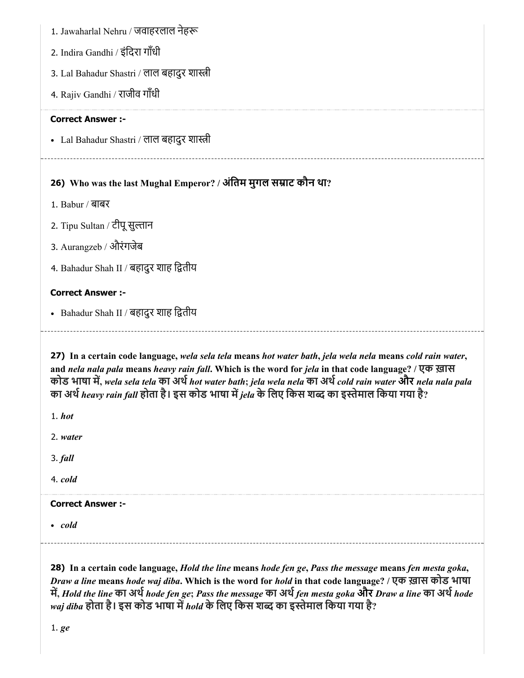1. Jawaharlal Nehru / जवाहरलाल नेह

- 2. Indira Gandhi / इंिदरा गाँधी
- 3. Lal Bahadur Shastri / लाल बहादुर शास्त्री
- 4. Rajiv Gandhi / राजीव गाँधी

# Correct Answer :-

• Lal Bahadur Shastri / लाल बहादुर शास्त्री

# 26) Who was the last Mughal Emperor? / अंतिम मुगल सम्राट कौन था?

- 1. Babur / बाबर
- 2. Tipu Sultan / टीपू सुल्तान
- 3. Aurangzeb / औरंगजेब
- 4. Bahadur Shah II / बहादुर शाह ितीय

# Correct Answer :-

• Bahadur Shah II / बहादुर शाह द्वितीय

27) In a certain code language, *wela sela tela* means *hot water bath*, *jela wela nela* means *cold rain water*, and *nela nala pala* means *heavy rain fall*. Which is the word for *jela* in that code language? / एक ख़ास कोड भाषा म, *wela sela tela* का अथ*hot water bath*; *jela wela nela* का अथ*cold rain water* और *nela nala pala* का अथ*heavy rain fall* होता है। इस कोड भाषा म*jela* के िलए िकस श का इेमाल िकया गया है?

1. *hot*

- 2. *water*
- 3. *fall*

4. *cold*

#### Correct Answer :-

*cold*

28) In a certain code language, *Hold the line* means *hode fen ge*, *Pass the message* means *fen mesta goka*, *Draw a line* means *hode waj diba*. Which is the word for *hold* in that code language? / एक ख़ास कोड भाषा म, *Hold the line* का अथ*hode fen ge*; *Pass the message* का अथ*fen mesta goka* और *Draw a line* का अथ*hode waj diba* होता है। इस कोड भाषा म*hold* के िलए िकस श का इेमाल िकया गया है?

1. *ge*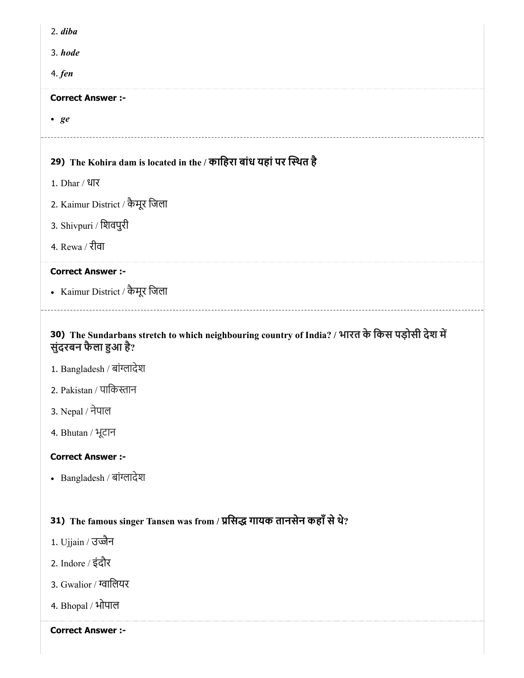| 2. diba                                                                                                                 |
|-------------------------------------------------------------------------------------------------------------------------|
| 3. hode                                                                                                                 |
| 4. <i>fen</i>                                                                                                           |
| <b>Correct Answer :-</b>                                                                                                |
| • ge                                                                                                                    |
|                                                                                                                         |
| 29) The Kohira dam is located in the / काहिरा बांध यहां पर स्थित है                                                     |
| 1. Dhar / धार                                                                                                           |
| 2. Kaimur District / कैमूर जिला                                                                                         |
| 3. Shivpuri / शिवपुरी                                                                                                   |
| 4. Rewa / रीवा                                                                                                          |
| <b>Correct Answer :-</b>                                                                                                |
| • Kaimur District / कैमूर जिला                                                                                          |
| 30) The Sundarbans stretch to which neighbouring country of India? / भारत के किस पड़ोसी देश में<br>सुंदरबन फैला हुआ है? |
| 1. Bangladesh / बांग्लादेश                                                                                              |
| 2. Pakistan / पाकिस्तान                                                                                                 |
| 3. Nepal / नेपाल                                                                                                        |
| 4. Bhutan / भूटान                                                                                                       |
| <b>Correct Answer :-</b>                                                                                                |

• Bangladesh / बांग्लादेश

# 31) The famous singer Tansen was from / प्रसिद्ध गायक तानसेन कहाँ से थे?

- 1. Ujjain / उज्जैन
- 2. Indore / इंदौर
- 3. Gwalior / ग्वालियर
- 4. Bhopal / भोपाल

Correct Answer :-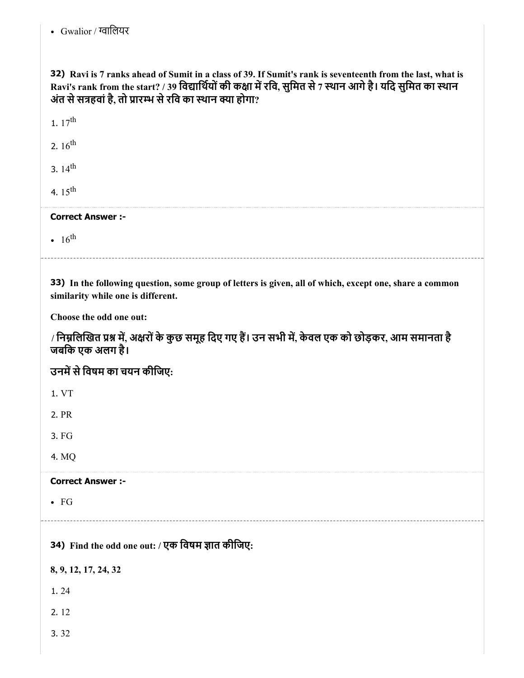• Gwalior / ग्वालियर

32) Ravi is 7 ranks ahead of Sumit in a class of 39. If Sumit's rank is seventeenth from the last, what is Ravi's rank from the start? / 39 विद्यार्थियों की कक्षा में रवि, सुमित से 7 स्थान आगे है। यदि सुमित का स्थान अंत से सत्रहवां है, तो प्रारम्भ से रवि का स्थान क्या होगा?

1.  $17^{th}$ 

2.  $16^{\text{th}}$ 

3.  $14^{\text{th}}$ 

4.  $15^{\text{th}}$ 

# Correct Answer :-

 $16<sup>th</sup>$ 

33) In the following question, some group of letters is given, all of which, except one, share a common similarity while one is different.

Choose the odd one out:

/ निम्नलिखित प्रश्न में, अक्षरों के कुछ समूह दिए गए हैं। उन सभी में, केवल एक को छोड़कर, आम समानता है जबिक एक अलग है।

उनमें से विषम का चयन कीजिए:

1. VT

2. PR

3. FG

4. MQ

Correct Answer :-

FG

34) Find the odd one out: / एक विषम ज्ञात कीजिए:

8, 9, 12, 17, 24, 32

1. 24

2. 12

3. 32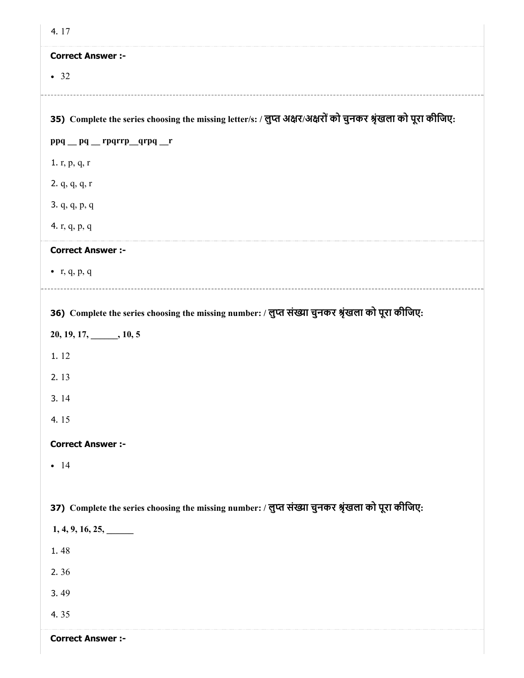| 4.17                                                                                                          |
|---------------------------------------------------------------------------------------------------------------|
| <b>Correct Answer :-</b>                                                                                      |
| • 32                                                                                                          |
|                                                                                                               |
| 35) Complete the series choosing the missing letter/s: / लुप्त अक्षर/अक्षरों को चुनकर श्रृंखला को पूरा कीजिए: |
| ppq _pq _rpqrrp_qrpq _r                                                                                       |
| 1. r, p, q, r                                                                                                 |
| 2. q, q, q, r                                                                                                 |
| 3. q, q, p, q                                                                                                 |
| 4. r, q, p, q                                                                                                 |
| <b>Correct Answer :-</b>                                                                                      |
| $\bullet$ r, q, p, q                                                                                          |
|                                                                                                               |
| 36) Complete the series choosing the missing number: / लुप्त संख्या चुनकर श्रृंखला को पूरा कीजिए:             |
| $20, 19, 17, \underline{\hspace{1cm}} 10, 5$                                                                  |
| 1.12                                                                                                          |
| 2.13                                                                                                          |
| 3.14                                                                                                          |
| 4.15                                                                                                          |
| <b>Correct Answer :-</b>                                                                                      |
| $-14$                                                                                                         |
|                                                                                                               |
| 37) Complete the series choosing the missing number: / लुप्त संख्या चुनकर श्रृंखला को पूरा कीजिए:             |
| 1, 4, 9, 16, 25,                                                                                              |
| 1.48                                                                                                          |
| 2.36                                                                                                          |
| 3.49                                                                                                          |
| 4.35                                                                                                          |
| <b>Correct Answer :-</b>                                                                                      |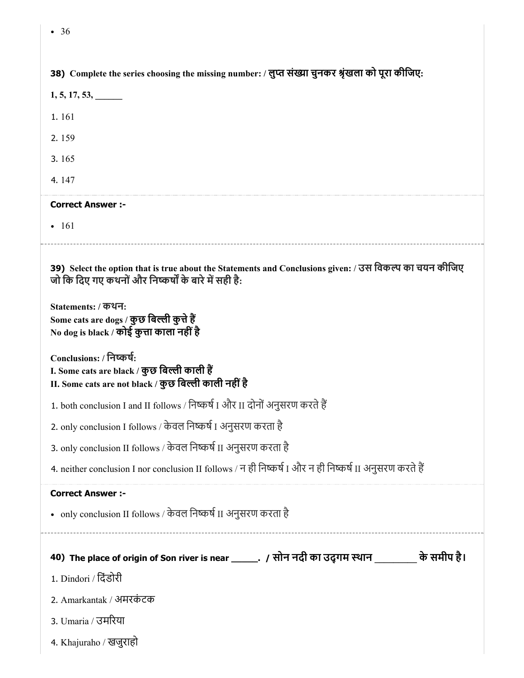| • 36                                                                                                                                                            |
|-----------------------------------------------------------------------------------------------------------------------------------------------------------------|
|                                                                                                                                                                 |
| 38) Complete the series choosing the missing number: / लुप्त संख्या चुनकर श्रृंखला को पूरा कीजिए:                                                               |
| $1, 5, 17, 53, \_\_$                                                                                                                                            |
| 1.161                                                                                                                                                           |
| 2.159                                                                                                                                                           |
| 3.165                                                                                                                                                           |
| 4.147                                                                                                                                                           |
| <b>Correct Answer :-</b>                                                                                                                                        |
| $\bullet$ 161                                                                                                                                                   |
| 39) Select the option that is true about the Statements and Conclusions given: / उस विकल्प का चयन कीजिए<br>जो कि दिए गए कथनों और निष्कर्षों के बारे में सही है: |
| Statements: / कथन:<br>Some cats are dogs / कुछ बिल्ली कुत्ते हैं<br>No dog is black / कोई कुत्ता काला नहीं है                                                   |
| Conclusions: / निष्कर्ष:<br>I. Some cats are black / कुछ बिल्ली काली हैं<br>II. Some cats are not black / कुछ बिल्ली काली नहीं है                               |
| 1. both conclusion I and II follows / निष्कर्ष I और II दोनों अनुसरण करते हैं                                                                                    |
|                                                                                                                                                                 |
| 2. only conclusion I follows / केवल निष्कर्ष I अनुसरण करता है                                                                                                   |
| 3. only conclusion II follows / केवल निष्कर्ष II अनुसरण करता है                                                                                                 |
| 4. neither conclusion I nor conclusion II follows / न ही निष्कर्ष I और न ही निष्कर्ष II अनुसरण करते हैं                                                         |
| <b>Correct Answer :-</b>                                                                                                                                        |
| • only conclusion II follows / केवल निष्कर्ष II अनुसरण करता है                                                                                                  |
|                                                                                                                                                                 |
| 40) The place of origin of Son river is near ______. / सोन नदी का उद्गम स्थान _________ के समीप है।                                                             |
| 1. Dindori / दिंडोरी                                                                                                                                            |
| 2. Amarkantak / अमरकंटक                                                                                                                                         |

4. Khajuraho / खजुराहो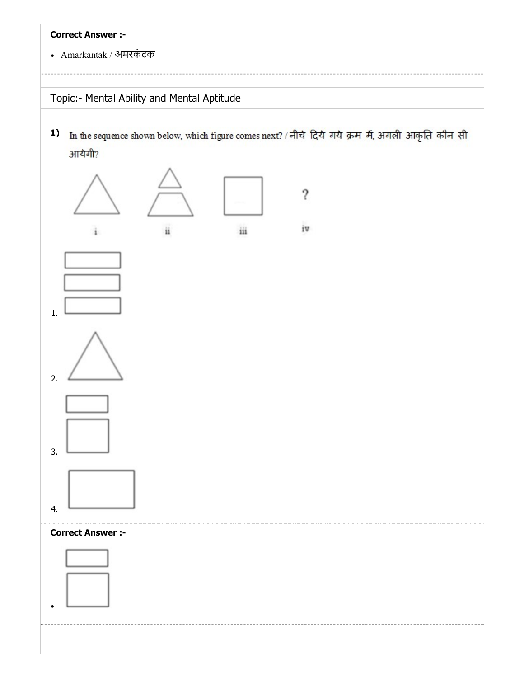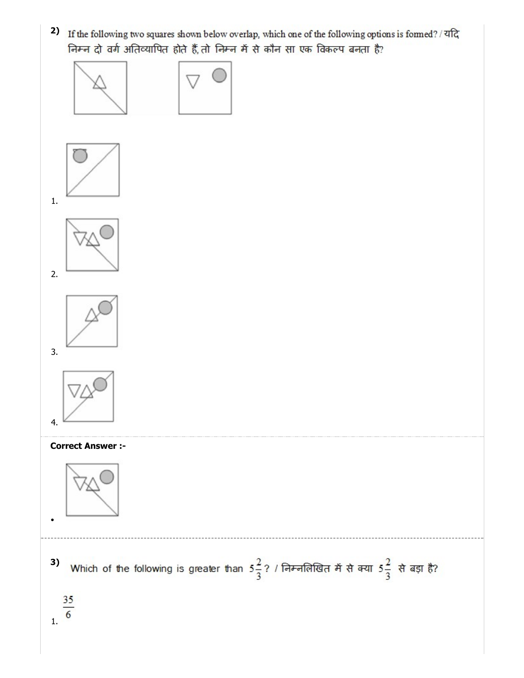2) If the following two squares shown below overlap, which one of the following options is formed? / यदि निम्न दो वर्ग अतिव्यापित होते हैं, तो निम्न में से कौन सा एक विकल्प बनता है?

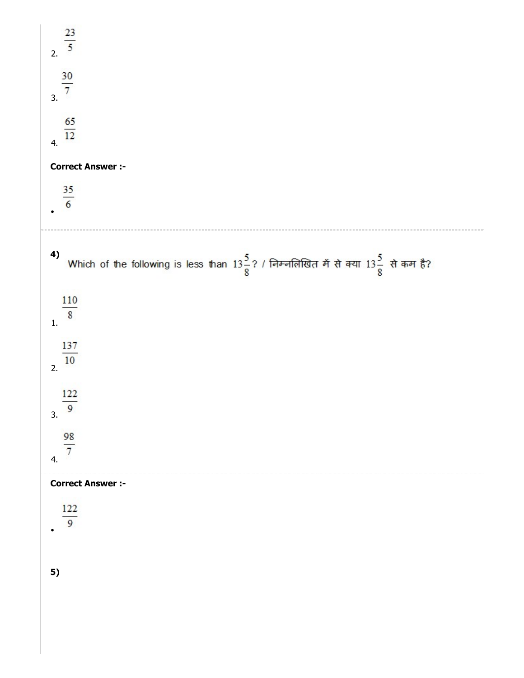| $\frac{23}{5}$                                                                                                 |
|----------------------------------------------------------------------------------------------------------------|
| $\frac{30}{7}$<br>$\overline{3}$ .                                                                             |
| $\frac{65}{12}$<br>4.                                                                                          |
| <b>Correct Answer :-</b>                                                                                       |
| $\frac{35}{6}$                                                                                                 |
| 4)<br>Which of the following is less than $13\frac{5}{8}$ ? / निम्नलिखित में से क्या $13\frac{5}{8}$ से कम है? |
| $\frac{110}{8}$<br>1.                                                                                          |
| 137<br>10<br>$\overline{2}$ .                                                                                  |
| 122<br>9<br>3.                                                                                                 |
| $\frac{98}{7}$<br>4.                                                                                           |
| <b>Correct Answer :-</b>                                                                                       |
| 122<br>9                                                                                                       |
| 5)                                                                                                             |
|                                                                                                                |
|                                                                                                                |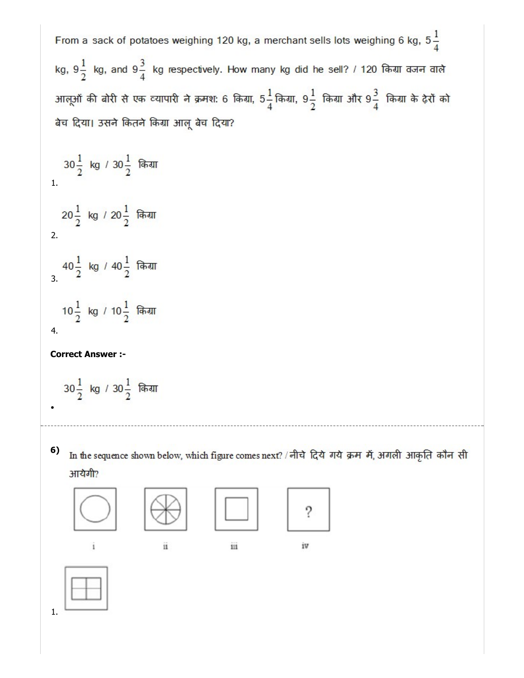From a sack of potatoes weighing 120 kg, a merchant sells lots weighing 6 kg,  $5\frac{1}{4}$ kg,  $9\frac{1}{2}$  kg, and  $9\frac{3}{4}$  kg respectively. How many kg did he sell? / 120 किया वजन वाले आलूओं की बोरी से एक व्यापारी ने क्रमश: 6 किग्रा, 5 $\frac{1}{4}$ किग्रा, 9 $\frac{1}{2}$  किग्रा और 9 $\frac{3}{4}$  किग्रा के ढ़ेरों को बेच दिया। उसने कितने किंग्रा आलू बेच दिया?  $30\frac{1}{2}$  kg /  $30\frac{1}{2}$  किया 1. 20 $\frac{1}{2}$  kg / 20 $\frac{1}{2}$  किया 2. 3.  $10\frac{1}{2}$  kg / 10 $\frac{1}{2}$  किया 4. Correct Answer :-  $30\frac{1}{2}$  kg /  $30\frac{1}{2}$  किया

In the sequence shown below, which figure comes next? / नीचे दिये गये क्रम में, अगली आकृति कौन सी 6) आयेगी?



i

 $\overline{\mathbf{u}}$ 

111

iv



1.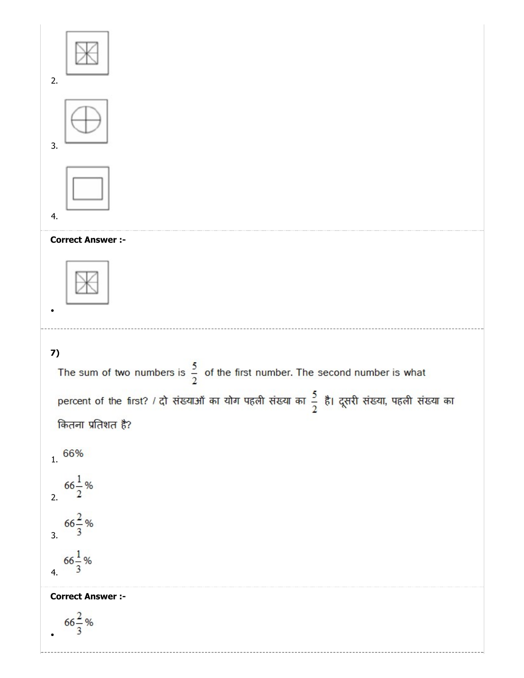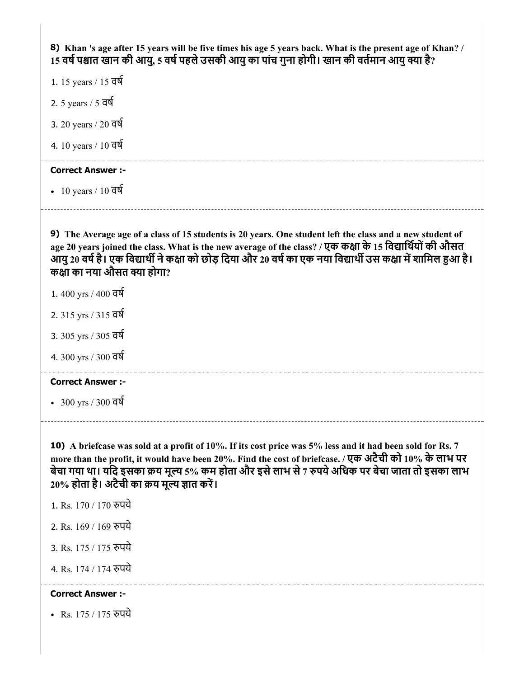8) Khan 's age after 15 years will be five times his age 5 years back. What is the present age of Khan? / 15 वर्ष पश्चात खान की आयु, 5 वर्ष पहले उसकी आयु का पांच गुना होगी। खान की वर्तमान आयु क्या है?

- 1. 15 years / 15 वष
- 2. 5 years / 5 वष
- 3. 20 years / 20 वष
- 4. 10 years / 10 वष

# Correct Answer :-

 $\cdot$  10 years / 10 वर्ष

9) The Average age of a class of 15 students is 20 years. One student left the class and a new student of age 20 years joined the class. What is the new average of the class? / एक कक्षा के 15 विद्यार्थियों की औसत आयु 20 वर्ष है। एक विद्यार्थी ने कक्षा को छोड़ दिया और 20 वर्ष का एक नया विद्यार्थी उस कक्षा में शामिल हुआ है। कक्षा का नया औसत क्या होगा?

- 1. 400 yrs / 400 वष
- 2. 315 yrs / 315 वष
- 3. 305 yrs / 305 वष
- 4. 300 yrs / 300 वष

### Correct Answer :-

300 yrs / 300 वष

10) A briefcase was sold at a profit of 10%. If its cost price was 5% less and it had been sold for Rs. 7 more than the profit, it would have been 20%. Find the cost of briefcase. / एक अटैची को 10% के लाभ पर बेचा गया था। यदि इसका क्रय मूल्य 5% कम होता और इसे लाभ से 7 रुपये अधिक पर बेचा जाता तो इसका लाभ  $20\%$  होता है। अटैची का क्रय मूल्य ज्ञात करें।

- 1. Rs. 170 / 170 रुपये
- 2. Rs. 169 / 169 पये
- 3. Rs. 175 / 175 पये
- 4. Rs. 174 / 174 रुपये

# Correct Answer :-

• Rs. 175 / 175 रुपये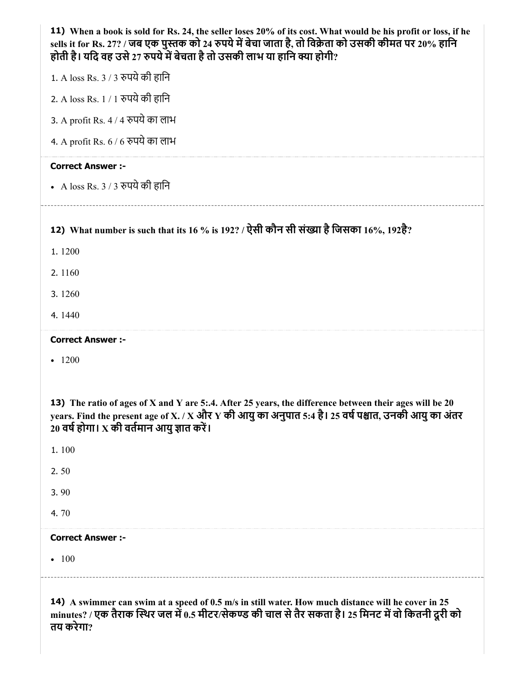| 11) When a book is sold for Rs. 24, the seller loses 20% of its cost. What would be his profit or loss, if he<br>sells it for Rs. 27? / जब एक पुस्तक को 24 रुपये में बेचा जाता है, तो विक्रेता को उसकी कीमत पर 20% हानि<br>होती है। यदि वह उसे 27 रुपये में बेचता है तो उसकी लाभ या हानि क्या होगी? |
|-----------------------------------------------------------------------------------------------------------------------------------------------------------------------------------------------------------------------------------------------------------------------------------------------------|
| 1. A loss Rs. 3 / 3 रुपये की हानि                                                                                                                                                                                                                                                                   |
| 2. A loss Rs. 1 / 1 रुपये की हानि                                                                                                                                                                                                                                                                   |
| 3. A profit Rs. 4 / 4 रुपये का लाभ                                                                                                                                                                                                                                                                  |
| 4. A profit Rs. 6 / 6 रुपये का लाभ                                                                                                                                                                                                                                                                  |
| <b>Correct Answer :-</b>                                                                                                                                                                                                                                                                            |
| • A loss Rs. 3 / 3 रुपये की हानि                                                                                                                                                                                                                                                                    |
| 12) What number is such that its 16 % is 192? / ऐसी कौन सी संख्या है जिसका 16%, 192है?                                                                                                                                                                                                              |
| 1.1200                                                                                                                                                                                                                                                                                              |
| 2.1160                                                                                                                                                                                                                                                                                              |
| 3.1260                                                                                                                                                                                                                                                                                              |
| 4.1440                                                                                                                                                                                                                                                                                              |
|                                                                                                                                                                                                                                                                                                     |
|                                                                                                                                                                                                                                                                                                     |
| <b>Correct Answer :-</b>                                                                                                                                                                                                                                                                            |
| $-1200$                                                                                                                                                                                                                                                                                             |
| 13) The ratio of ages of X and Y are 5:.4. After 25 years, the difference between their ages will be 20<br>years. Find the present age of X. / X और Y की आयु का अनुपात 5:4 है। 25 वर्ष पश्चात, उनकी आयु का अंतर<br>20 वर्ष होगा। X की वर्तमान आयु ज्ञात करें।                                       |
| 1.100                                                                                                                                                                                                                                                                                               |
| 2.50                                                                                                                                                                                                                                                                                                |
| 3.90                                                                                                                                                                                                                                                                                                |
| 4.70                                                                                                                                                                                                                                                                                                |
| <b>Correct Answer :-</b>                                                                                                                                                                                                                                                                            |
| $-100$                                                                                                                                                                                                                                                                                              |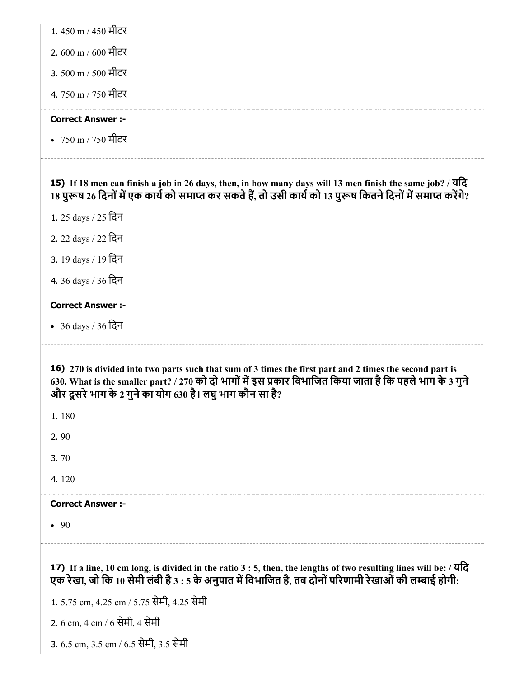| 1.450 m / 450 मीटर |  |
|--------------------|--|
|--------------------|--|

2. 600 m / 600 मीटर

3. 500 m / 500 मीटर

4. 750 m / 750 मीटर

# Correct Answer :-

750 m / 750 मीटर

15) If 18 men can finish a job in 26 days, then, in how many days will 13 men finish the same job? / यिद 18 पुरूष 26 दिनों में एक कार्य को समाप्त कर सकते हैं, तो उसी कार्य को 13 पुरूष कितने दिनों में समाप्त करेंगे?

1. 25 days / 25 िदन

- 2. 22 days / 22 िदन
- 3. 19 days / 19 िदन
- 4. 36 days / 36 िदन

# Correct Answer :-

36 days / 36 िदन

16) 270 is divided into two parts such that sum of 3 times the first part and 2 times the second part is 630. What is the smaller part? / 270 को दो भागों में इस प्रकार विभाजित किया जाता है कि पहले भाग के 3 गुने और दूसरे भाग के 2 गुने का योग 630 है। लघु भाग कौन सा है?

1. 180

- 2. 90
- 3. 70
- 4. 120

# Correct Answer :-

• 90

17) If a line, 10 cm long, is divided in the ratio 3 : 5, then, the lengths of two resulting lines will be: / यिद एक रेखा, जो कि 10 सेमी लंबी है 3 : 5 के अनुपात में विभाजित है, तब दोनों परिणामी रेखाओं की लम्बाई होगी:

1. 5.75 cm, 4.25 cm / 5.75 सेमी, 4.25 सेमी

2. 6 cm, 4 cm / 6 सेमी, 4 सेमी

3. 6.5 cm, 3.5 cm / 6.5 सेमी, 3.5 सेमी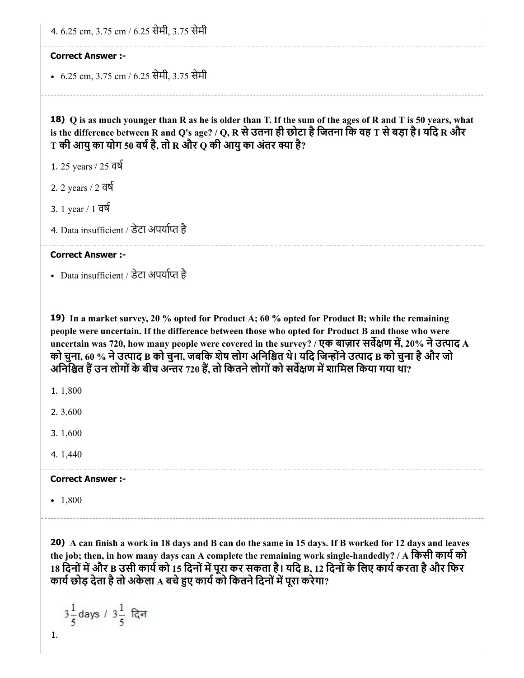4. 6.25 cm, 3.75 cm / 6.25 सेमी, 3.75 सेमी

#### Correct Answer :-

6.25 cm, 3.75 cm / 6.25 सेमी, 3.75 सेमी

18) Q is as much younger than R as he is older than T. If the sum of the ages of R and T is 50 years, what is the difference between R and Q's age? / Q, R से उतना ही छोटा है जितना कि वह T से बड़ा है। यदि R और  ${\rm T}$  की आयु का योग 50 वर्ष है, तो R और  ${\rm Q}$  की आयु का अंतर क्या है?

- 1. 25 years / 25 वष
- 2. 2 years / 2 वष
- 3. 1 year / 1 वष
- 4. Data insufficient / डेटा अपर्याप्त है

#### Correct Answer :-

• Data insufficient / डेटा अपर्याप्त है

19) In a market survey, 20 % opted for Product A; 60 % opted for Product B; while the remaining people were uncertain. If the difference between those who opted for Product B and those who were uncertain was 720, how many people were covered in the survey? / एक बाज़ार सर्वेक्षण में, 20% ने उत्पाद A को चुना, 60 % ने उत्पाद B को चुना, जबकि शेष लोग अनिश्चित थे। यदि जिन्होंने उत्पाद B को चुना है और जो अनिश्चित हैं उन लोगों के बीच अन्तर 720 हैं, तो कितने लोगों को सर्वेक्षण में शामिल किया गया था?

1. 1,800

2. 3,600

3. 1,600

4. 1,440

#### Correct Answer :-

 $-1,800$ 

20) A can finish a work in 18 days and B can do the same in 15 days. If B worked for 12 days and leaves the job; then, in how many days can A complete the remaining work single-handedly? / A किसी कार्य को 18 दिनों में और B उसी कार्य को 15 दिनों में पूरा कर सकता है। यदि B, 12 दिनों के लिए कार्य करता है और फिर कार्य छोड़ देता है तो अकेला A बचे हुए कार्य को कितने दिनों में पूरा करेगा?

 $3\frac{1}{5}$ days /  $3\frac{1}{5}$  दिन 1.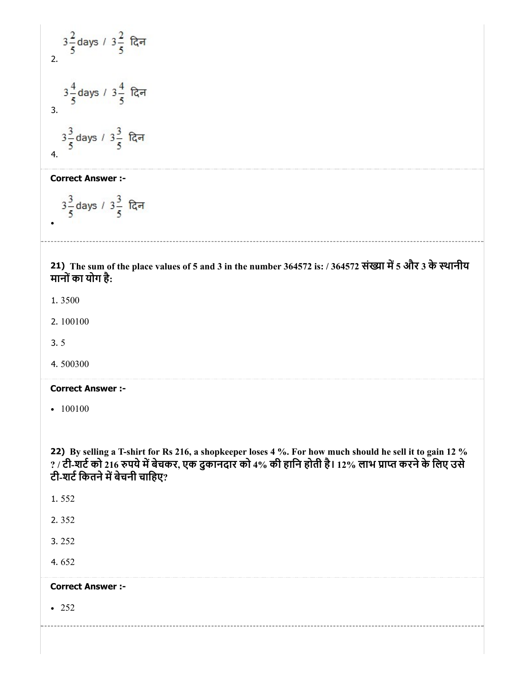$$
3\frac{2}{5} \text{ days} / 3\frac{2}{5} \text{ R} = 3\frac{4}{5} \text{ days} / 3\frac{4}{5} \text{ R} = 3\frac{3}{5} \text{ days} / 3\frac{3}{5} \text{ R} = 4.
$$

Correct Answer :-

$$
3\frac{3}{5}
$$
 days /  $3\frac{3}{5}$  [Q $\bar{r}$ ]

21) The sum of the place values of 5 and 3 in the number 364572 is: / 364572 संख्या में 5 और 3 के स्थानीय मानोंका योग है:

1. 3500

 $\bullet$ 

- 2. 100100
- 3. 5
- 4. 500300

#### Correct Answer :-

 $-100100$ 

22) By selling a T-shirt for Rs 216, a shopkeeper loses 4 %. For how much should he sell it to gain 12 % ? / टी-शर्ट को 216 रुपये में बेचकर, एक दुकानदार को 4% की हानि होती है। 12% लाभ प्राप्त करने के लिए उसे टी-शर्ट कितने में बेचनी चाहिए?

- 1. 552
- 2. 352

3. 252

4. 652

# Correct Answer :-

 $• 252$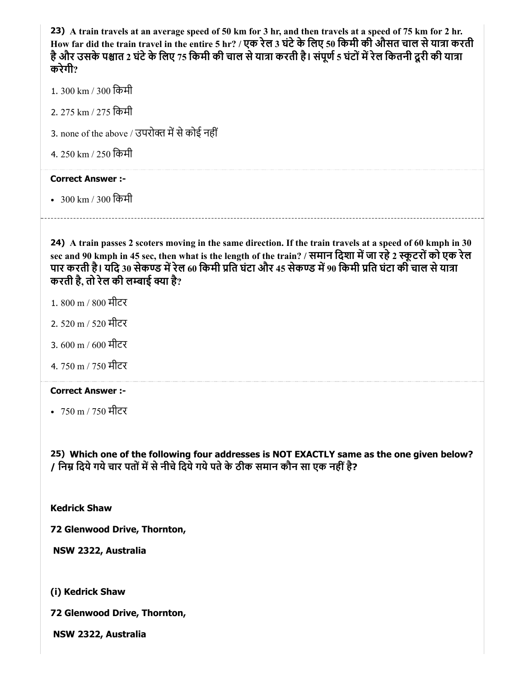23) A train travels at an average speed of 50 km for 3 hr, and then travels at a speed of 75 km for 2 hr. How far did the train travel in the entire 5 hr? / एक रेल 3 घंटे के लिए 50 किमी की औसत चाल से यात्रा करती है और उसके पश्चात 2 घंटे के लिए 75 किमी की चाल से यात्रा करती है। संपूर्ण 5 घंटों में रेल कितनी दूरी की यात्रा करेगी?

- 1. 300 km / 300 िकमी
- 2. 275 km / 275 िकमी
- 3. none of the above / उपरोक्त में से कोई नहीं
- 4. 250 km / 250 िकमी

#### Correct Answer :-

300 km / 300 िकमी

24) A train passes 2 scoters moving in the same direction. If the train travels at a speed of 60 kmph in 30 sec and 90 kmph in 45 sec, then what is the length of the train? / समान दिशा में जा रहे 2 स्कूटरों को एक रेल पार करती है। यदि 30 सेकण्ड में रेल 60 किमी प्रति घंटा और 45 सेकण्ड में 90 किमी प्रति घंटा की चाल से यात्रा करती है, तो रेल की लम्बाई क्या है?

- 1. 800 m / 800 मीटर
- 2. 520 m / 520 मीटर
- 3. 600 m / 600 मीटर
- 4. 750 m / 750 मीटर

#### Correct Answer :-

• 750 m / 750 मीटर

25) Which one of the following four addresses is NOT EXACTLY same as the one given below? / निम्न दिये गये चार पतों में से नीचे दिये गये पते के ठीक समान कौन सा एक नहीं है?

Kedrick Shaw

72 Glenwood Drive, Thornton,

NSW 2322, Australia

(i) Kedrick Shaw

72 Glenwood Drive, Thornton,

NSW 2322, Australia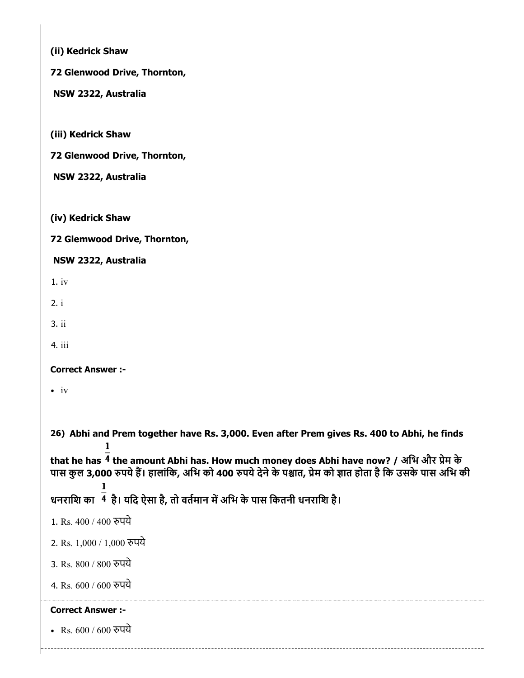(ii) Kedrick Shaw

72 Glenwood Drive, Thornton,

NSW 2322, Australia

(iii) Kedrick Shaw

72 Glenwood Drive, Thornton,

NSW 2322, Australia

(iv) Kedrick Shaw

72 Glemwood Drive, Thornton,

# NSW 2322, Australia

1. iv

2. i

3. ii

4. iii

Correct Answer :-

 $\cdot$  iv

26) Abhi and Prem together have Rs. 3,000. Even after Prem gives Rs. 400 to Abhi, he finds

that he has  $\overline{4}$  the amount Abhi has. How much money does Abhi have now? / अभि और प्रेम के पास कुल 3,000 रुपये हैं। हालांकि, अभि को 400 रुपये देने के पश्चात, प्रेम को ज्ञात होता है कि उसके पास अभि की

धनराशि का $^{-\overline{4}}$  है। यदि ऐसा है, तो वर्तमान में अभि के पास कितनी धनराशि है।

1. Rs. 400 / 400 रुपये

2. Rs. 1,000 / 1,000 पये

3. Rs. 800 / 800 पये

4. Rs. 600 / 600 पये

# Correct Answer :-

• Rs. 600 / 600 रुपये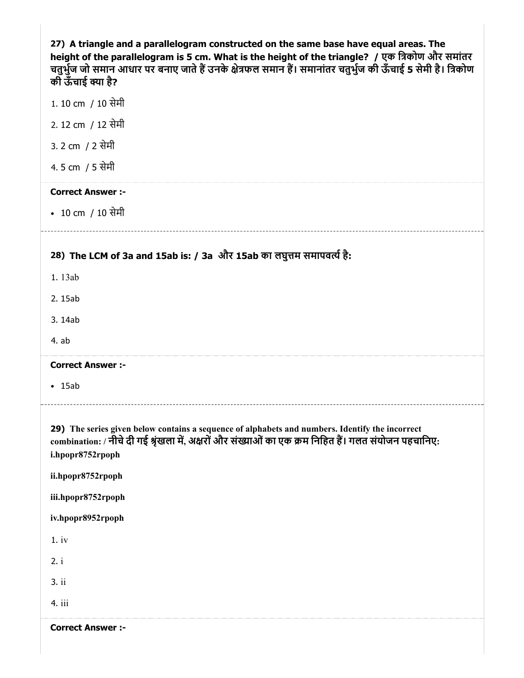27) A triangle and a parallelogram constructed on the same base have equal areas. The height of the parallelogram is 5 cm. What is the height of the triangle? / एक िकोण और समांतर चतुर्भुज जो समान आधार पर बनाए जाते हैं उनके क्षेत्रफल समान हैं। समानांतर चतुर्भुज की ऊँचाई 5 सेमी है। त्रिकोण की ऊँचाई क्या है?

- 1. 10 cm / 10 सेमी
- 2. 12 cm / 12 सेमी
- 3. 2 cm / 2 सेमी
- 4. 5 cm / 5 सेमी

#### Correct Answer :-

• 10 cm / 10 सेमी

# 28) The LCM of 3a and 15ab is: / 3a और 15ab का लघुत्तम समापवत्ये है:

- 1. 13ab
- 2. 15ab
- 3. 14ab
- 4. ab

#### Correct Answer :-

15ab

29) The series given below contains a sequence of alphabets and numbers. Identify the incorrect combination: / नीचे दी गई श्रृंखला में, अक्षरों और संख्याओं का एक क्रम निहित हैं। गलत संयोजन पहचानिए: i.hpopr8752rpoph

ii.hpopr8752rpoph

iii.hpopr8752rpoph

iv.hpopr8952rpoph

1. iv

- 2. i
- 3. ii
- 
- 4. iii

Correct Answer :-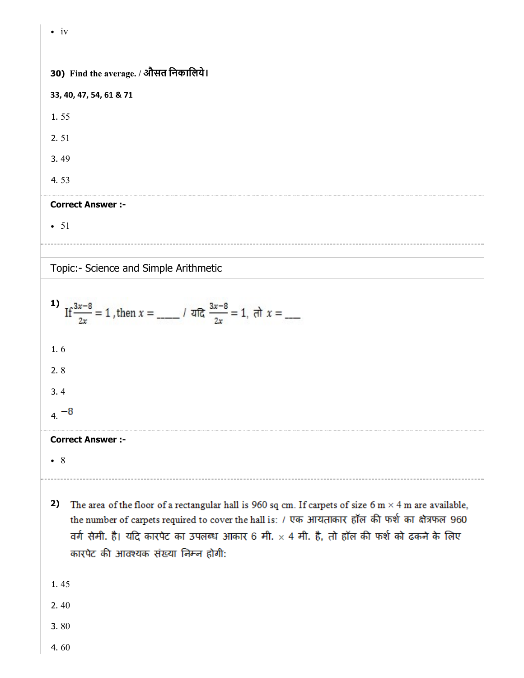30) Find the average. / औसत िनकािलये। 33, 40, 47, 54, 61 & 71 1. 55 2. 51 3. 49 4. 53

# Correct Answer :-

 $• 51$ 

 $\cdot$  iv

Topic:- Science and Simple Arithmetic

$$
1) \quad \text{If } \frac{3x-8}{2x} = 1 \text{, then } x = \underline{\qquad} \qquad / \text{ and } \frac{3x-8}{2x} = 1 \text{, } \text{at } x = \underline{\qquad}
$$

1. 6

2. 8

3. 4

 $4. -8$ 

# Correct Answer :-

8

- 2) The area of the floor of a rectangular hall is 960 sq cm. If carpets of size 6 m  $\times$  4 m are available, the number of carpets required to cover the hall is: / एक आयताकार हॉल की फर्श का क्षेत्रफल 960 वर्ग सेमी. है। यदि कारपेट का उपलब्ध आकार 6 मी. × 4 मी. है, तो हॉल की फर्श को ढकने के लिए कारपेट की आवश्यक संख्या निम्न होगी:
- 1. 45

2. 40

3. 80

4. 60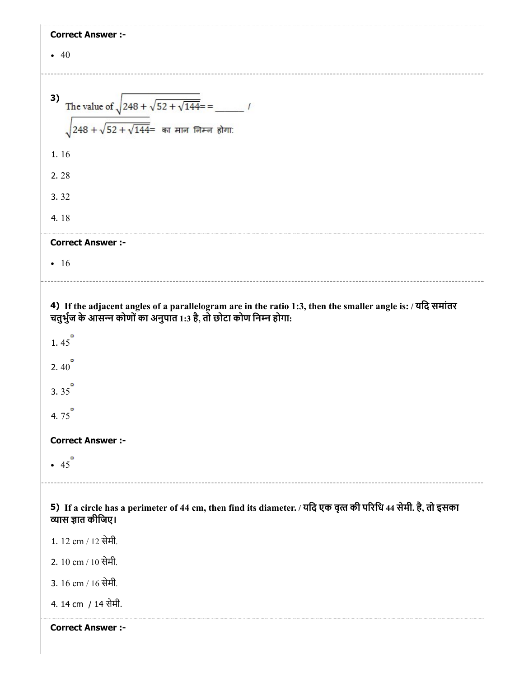| <b>Correct Answer :-</b>                                                                                                                                                        |
|---------------------------------------------------------------------------------------------------------------------------------------------------------------------------------|
| $\bullet$ 40                                                                                                                                                                    |
|                                                                                                                                                                                 |
| 3)                                                                                                                                                                              |
|                                                                                                                                                                                 |
|                                                                                                                                                                                 |
| 1.16                                                                                                                                                                            |
| 2.28                                                                                                                                                                            |
| 3.32                                                                                                                                                                            |
| 4.18                                                                                                                                                                            |
| <b>Correct Answer :-</b>                                                                                                                                                        |
| $\cdot$ 16                                                                                                                                                                      |
|                                                                                                                                                                                 |
| 4) If the adjacent angles of a parallelogram are in the ratio 1:3, then the smaller angle is: / यदि समांतर<br>चतुर्भुज के आसन्न कोणों का अनुपात 1:3 है, तो छोटा कोण निम्न होगा: |
| 1.45                                                                                                                                                                            |
| ۰<br>2.40                                                                                                                                                                       |
| 3.35                                                                                                                                                                            |
| ۰<br>4.75                                                                                                                                                                       |
| <b>Correct Answer :-</b>                                                                                                                                                        |
| $\cdot$ 45 <sup>°</sup>                                                                                                                                                         |
|                                                                                                                                                                                 |
| 5) If a circle has a perimeter of 44 cm, then find its diameter. / यदि एक वृत्त की परिधि 44 सेमी. है, तो इसका<br>व्यास ज्ञात कीजिए।                                             |
| 1. 12 cm / 12 सेमी.                                                                                                                                                             |
| 2. 10 cm / 10 सेमी.                                                                                                                                                             |
| 3. 16 cm / 16 सेमी.                                                                                                                                                             |
| 4. 14 cm / 14 सेमी.                                                                                                                                                             |
| <b>Correct Answer :-</b>                                                                                                                                                        |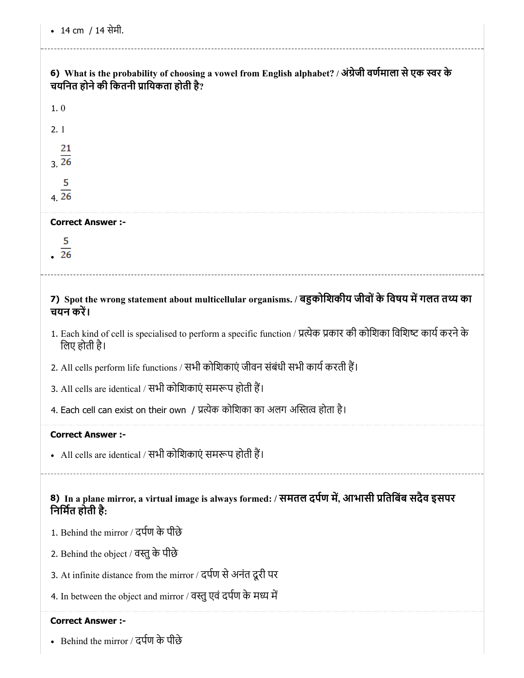# 6) What is the probability of choosing a vowel from English alphabet? / अंग्रेजी वर्णमाला से एक स्वर के चयनित होने की कितनी प्रायिकता होती है?

| 5<br>$\overline{26}$     |  |  |
|--------------------------|--|--|
| <b>Correct Answer :-</b> |  |  |
| $\frac{5}{4.26}$         |  |  |
| 21<br>$\frac{1}{26}$     |  |  |
| 2.1                      |  |  |
|                          |  |  |

# 7) Spot the wrong statement about multicellular organisms. / बहुकोशिकीय जीवों के विषय में गलत तथ्य का चयन कर।

- 1. Each kind of cell is specialised to perform a specific function / प्रत्येक प्रकार की कोशिका विशिष्ट कार्य करने के िलए होती है।
- 2. All cells perform life functions / सभी कोशिकाएं जीवन संबंधी सभी कार्य करती हैं।
- 3. All cells are identical / सभी कोशिकाएं समरूप होती हैं।
- 4. Each cell can exist on their own / प्रत्येक कोशिका का अलग अस्तित्व होता है।

# Correct Answer :-

• All cells are identical / सभी कोशिकाएं समरूप होती हैं।

8) In a plane mirror, a virtual image is always formed: / समतल दर्पण में, आभासी प्रतिबिंब सदैव इसपर िनिमत होती है:

- 1. Behind the mirror / दपण के पीछे
- 2. Behind the object / वतुके पीछे
- 3. At infinite distance from the mirror / दर्पण से अनंत दूरी पर
- 4. In between the object and mirror / वस्तु एवं दर्पण के मध्य में

# Correct Answer :-

Behind the mirror / दपण के पीछे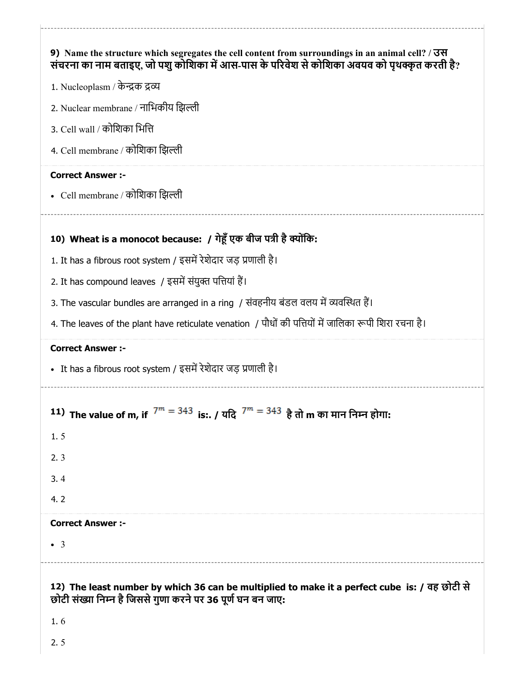|                          | 9) Name the structure which segregates the cell content from surroundings in an animal cell? $/$ 300<br>संचरना का नाम बताइए, जो पशु कोशिका में आस-पास के परिवेश से कोशिका अवयव को पृथक्कृत करती है? |
|--------------------------|-----------------------------------------------------------------------------------------------------------------------------------------------------------------------------------------------------|
|                          | 1. Nucleoplasm / केन्द्रक द्रव्य                                                                                                                                                                    |
|                          | 2. Nuclear membrane / नाभिकीय झिल्ली                                                                                                                                                                |
|                          | 3. Cell wall / कोशिका भित्ति                                                                                                                                                                        |
|                          | 4. Cell membrane / कोशिका झिल्ली                                                                                                                                                                    |
| <b>Correct Answer:-</b>  |                                                                                                                                                                                                     |
|                          | • Cell membrane / कोशिका झिल्ली                                                                                                                                                                     |
|                          | 10) Wheat is a monocot because: / गेहूँ एक बीज पत्री है क्योंकि:                                                                                                                                    |
|                          | 1. It has a fibrous root system / इसमें रेशेदार जड़ प्रणाली है।                                                                                                                                     |
|                          | 2. It has compound leaves / इसमें संयुक्त पत्तियां हैं।                                                                                                                                             |
|                          | 3. The vascular bundles are arranged in a ring / संवहनीय बंडल वलय में व्यवस्थित हैं।                                                                                                                |
|                          | 4. The leaves of the plant have reticulate venation / पौधों की पत्तियों में जालिका रूपी शिरा रचना है।                                                                                               |
| <b>Correct Answer :-</b> |                                                                                                                                                                                                     |
|                          | • It has a fibrous root system / इसमें रेशेदार जड़ प्रणाली है।                                                                                                                                      |
|                          | 11) The value of m, if $7^m = 343$ is:. / यदि $7^m = 343$ है तो m का मान निम्न होगा:                                                                                                                |
| 1.5                      |                                                                                                                                                                                                     |
| 2.3                      |                                                                                                                                                                                                     |
| 3.4                      |                                                                                                                                                                                                     |
| 4.2                      |                                                                                                                                                                                                     |
| <b>Correct Answer :-</b> |                                                                                                                                                                                                     |
| $\bullet$ 3              |                                                                                                                                                                                                     |
|                          |                                                                                                                                                                                                     |
|                          |                                                                                                                                                                                                     |
|                          | 12) The least number by which 36 can be multiplied to make it a perfect cube is: / वह छोटी से<br>छोटी संख्या निम्न है जिससे गुणा करने पर 36 पूर्ण घन बन जाए:                                        |

2. 5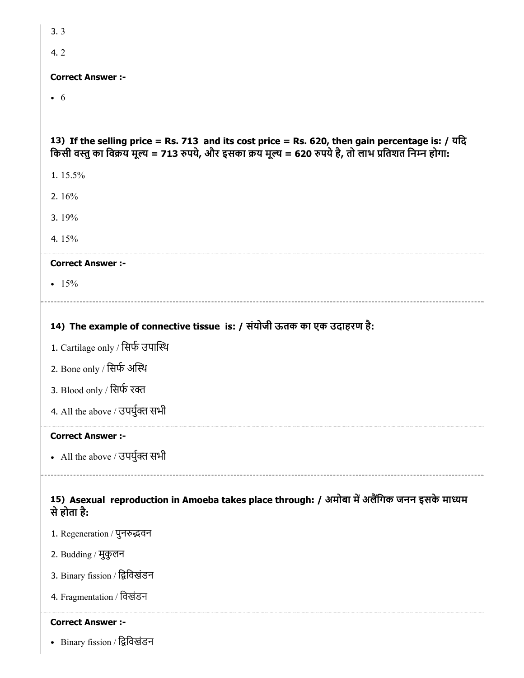| 3.3                                                                                                                                                                                                      |
|----------------------------------------------------------------------------------------------------------------------------------------------------------------------------------------------------------|
| 4.2                                                                                                                                                                                                      |
| <b>Correct Answer:-</b>                                                                                                                                                                                  |
| $\bullet$ 6                                                                                                                                                                                              |
|                                                                                                                                                                                                          |
| 13) If the selling price = Rs. 713 and its cost price = Rs. 620, then gain percentage is: / यदि<br>किसी वस्तु का विक्रय मूल्य = 713 रुपये, और इसका क्रय मूल्य = 620 रुपये है, तो लाभ प्रतिशत निम्न होगा: |
| 1.15.5%                                                                                                                                                                                                  |
| 2. $16%$                                                                                                                                                                                                 |
| 3.19%                                                                                                                                                                                                    |
| 4.15%                                                                                                                                                                                                    |
| <b>Correct Answer :-</b>                                                                                                                                                                                 |
| • $15%$                                                                                                                                                                                                  |
|                                                                                                                                                                                                          |
| 14) The example of connective tissue is: / संयोजी ऊतक का एक उदाहरण है:                                                                                                                                   |
| 1. Cartilage only / सिर्फ उपास्थि                                                                                                                                                                        |
| 2. Bone only / सिर्फ अस्थि                                                                                                                                                                               |
| 3. Blood only / सिर्फ रक्त                                                                                                                                                                               |
| 4. All the above / उपर्युक्त सभी                                                                                                                                                                         |
| <b>Correct Answer :-</b>                                                                                                                                                                                 |
| • All the above / उपर्युक्त सभी                                                                                                                                                                          |
| 15) Asexual reproduction in Amoeba takes place through: / अमोबा में अलैंगिक जनन इसके माध्यम<br>से होता है:                                                                                               |
| 1. Regeneration / पुनरुद्धवन                                                                                                                                                                             |

- 2. Budding / मुकुलन
- 3. Binary fission / द्विविखंडन
- 4. Fragmentation / िवखंडन

# Correct Answer :-

• Binary fission / द्विविखंडन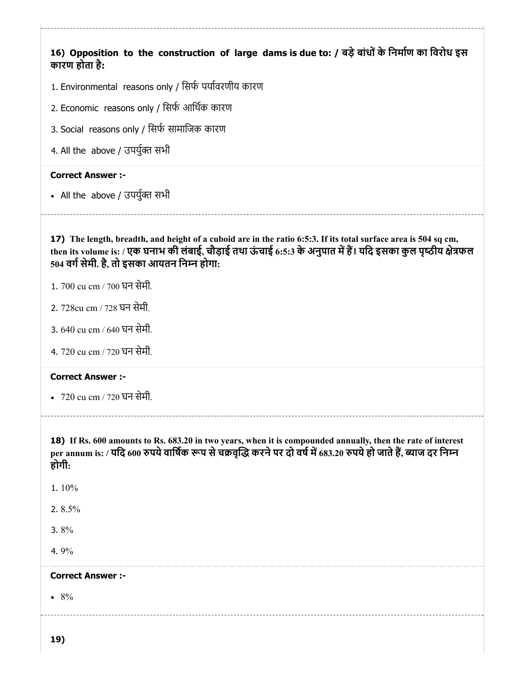16) Opposition to the construction of large dams is due to: / बड़े बांधों के निर्माण का विरोध इस कारण होता है:

- 1. Environmental reasons only / सिर्फ पर्यावरणीय कारण
- 2. Economic reasons only / िसफ आिथक कारण
- 3. Social reasons only / सिर्फ सामाजिक कारण
- 4. All the above / उपर्युक्त सभी

#### Correct Answer :-

• All the above / उपर्युक्त सभी

17) The length, breadth, and height of a cuboid are in the ratio 6:5:3. If its total surface area is 504 sq cm, then its volume is: / एक घनाभ की लंबाई, चौड़ाई तथा ऊंचाई 6:5:3 के अनुपात में हैं। यदि इसका कुल पृष्ठीय क्षेत्रफल 504 वर्ग सेमी. है, तो इसका आयतन निम्न होगा:

- 1. 700 cu cm / 700 घन सेमी.
- 2. 728cu cm / 728 घन सेमी.
- 3. 640 cu cm / 640 घन सेमी.
- 4. 720 cu cm / 720 घन सेमी.

#### Correct Answer :-

720 cu cm / 720 घन सेमी.

18) If Rs. 600 amounts to Rs. 683.20 in two years, when it is compounded annually, then the rate of interest per annum is: / यदि 600 रुपये वार्षिक रूप से चक्रवृद्धि करने पर दो वर्ष में 683.20 रुपये हो जाते हैं, ब्याज दर निम्न होगी:

- 1. 10%
- 2. 8.5%
- 3. 8%
- 4. 9%

#### Correct Answer :-

 $• 8%$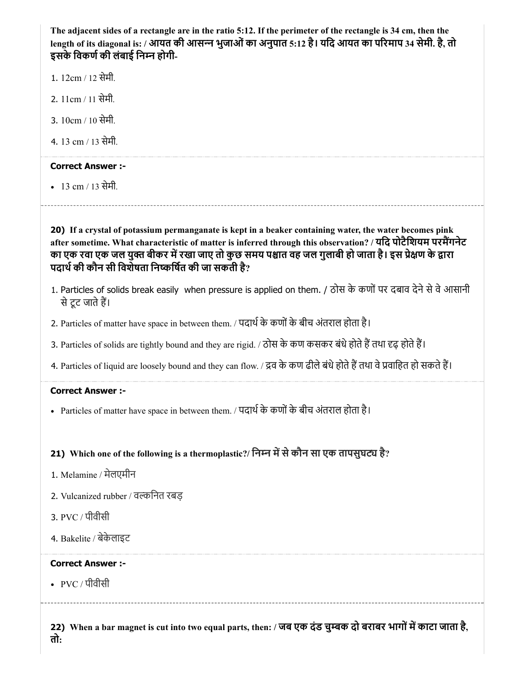The adjacent sides of a rectangle are in the ratio 5:12. If the perimeter of the rectangle is 34 cm, then the length of its diagonal is: / आयत की आसन्न भुजाओं का अनुपात 5:12 है। यदि आयत का परिमाप 34 सेमी. है, तो इसके विकर्ण की लंबाई निम्न होगी-

- 1. 12cm / 12 सेमी.
- 2. 11cm / 11 सेमी.
- 3. 10cm / 10 सेमी.
- 4. 13 cm / 13 सेमी.

# Correct Answer :-

13 cm / 13 सेमी.

20) If a crystal of potassium permanganate is kept in a beaker containing water, the water becomes pink after sometime. What characteristic of matter is inferred through this observation? / यदि पोटैशियम परमैंगनेट का एक रवा एक जल युक्त बीकर में रखा जाए तो कुछ समय पश्चात वह जल गुलाबी हो जाता है। इस प्रेक्षण के द्वारा पदार्थ की कौन सी विशेषता निष्कर्षित की जा सकती है?

- 1. Particles of solids break easily when pressure is applied on them. / ठोस के कणों पर दबाव देने से वे आसानी सेटूट जातेह।
- 2. Particles of matter have space in between them. / पदार्थ के कणों के बीच अंतराल होता है।
- 3. Particles of solids are tightly bound and they are rigid. / ठोस के कण कसकर बंधे होते हैं तथा दृढ़ होते हैं।
- 4. Particles of liquid are loosely bound and they can flow. / द्रव के कण ढीले बंधे होते हैं तथा वे प्रवाहित हो सकते हैं।

#### Correct Answer :-

• Particles of matter have space in between them. / पदार्थ के कणों के बीच अंतराल होता है।

# 21) Which one of the following is a thermoplastic?/ निम्न में से कौन सा एक तापसुघट्य है?

- 1. Melamine / मेलएमीन
- 2. Vulcanized rubber / विनत रबड़
- 3. PVC / पीवीसी
- 4. Bakelite / बेकेलाइट

#### Correct Answer :-

• PVC / पीवीसी

22) When a bar magnet is cut into two equal parts, then: / जब एक दंड चुम्बक दो बराबर भागों में काटा जाता है, तो: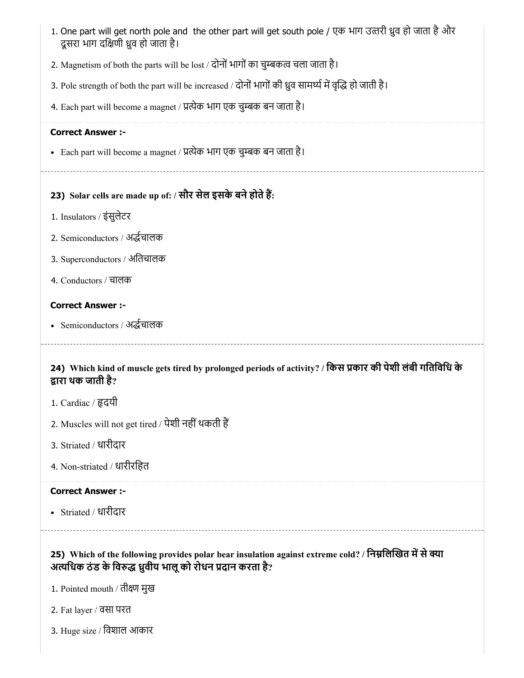| 1. One part will get north pole and the other part will get south pole / एक भाग उत्तरी ध्रुव हो जाता है और<br>दूसरा भाग दक्षिणी ध्रुव हो जाता है।                                                            |
|--------------------------------------------------------------------------------------------------------------------------------------------------------------------------------------------------------------|
| 2. Magnetism of both the parts will be lost / दोनों भागों का चुम्बकत्व चला जाता है।                                                                                                                          |
| 3. Pole strength of both the part will be increased / दोनों भागों की ध्रुव सामर्थ्य में वृद्धि हो जाती है।                                                                                                   |
| 4. Each part will become a magnet / प्रत्येक भाग एक चुम्बक बन जाता है।                                                                                                                                       |
| <b>Correct Answer :-</b>                                                                                                                                                                                     |
| • Each part will become a magnet / प्रत्येक भाग एक चुम्बक बन जाता है।                                                                                                                                        |
| 23) Solar cells are made up of: / सौर सेल इसके बने होते हैं:                                                                                                                                                 |
| 1. Insulators / इंसुलेटर                                                                                                                                                                                     |
| 2. Semiconductors / अर्द्धचालक                                                                                                                                                                               |
| 3. Superconductors / अतिचालक                                                                                                                                                                                 |
| 4. Conductors / चालक                                                                                                                                                                                         |
| <b>Correct Answer :-</b>                                                                                                                                                                                     |
| • Semiconductors / अर्द्धचालक                                                                                                                                                                                |
| 24) Which kind of muscle gets tired by prolonged periods of activity? / किस प्रकार की पेशी लंबी गतिविधि के<br>द्वारा थक जाती है?<br>1. Cardiac / हृदयी<br>2. Muscles will not get tired / पेशी नहीं थकती हैं |
| 3. Striated / धारीदार                                                                                                                                                                                        |
| 4. Non-striated / धारीरहित                                                                                                                                                                                   |
| <b>Correct Answer :-</b>                                                                                                                                                                                     |
| • Striated / धारीदार                                                                                                                                                                                         |
| 25) Which of the following provides polar bear insulation against extreme cold? / निम्नलिखित में से क्या<br>अत्यधिक ठंड के विरुद्ध ध्रुवीय भालू को रोधन प्रदान करता है?                                      |
|                                                                                                                                                                                                              |
| 1. Pointed mouth / तीक्ष्ण मुख                                                                                                                                                                               |
| 2. Fat layer / वसा परत                                                                                                                                                                                       |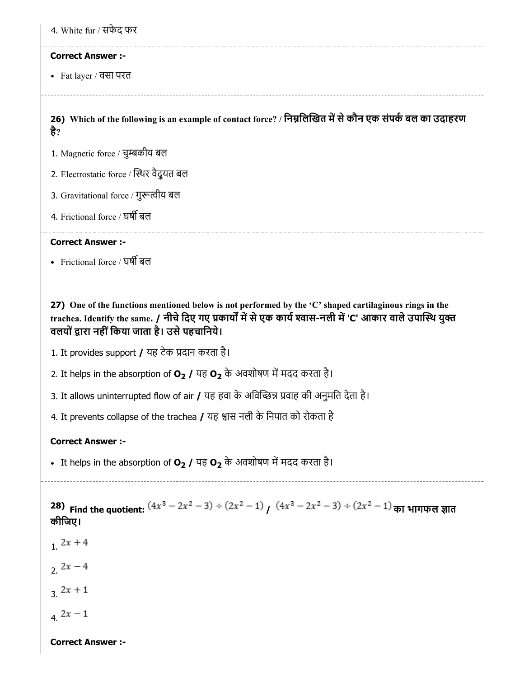4. White fur / सफेद फर

#### Correct Answer :-

Fat layer / वसा परत

है?

26) Which of the following is an example of contact force? / निम्नलिखित में से कौन एक संपर्क बल का उदाहरण

- 1. Magnetic force / चुकीय बल
- 2. Electrostatic force / थर वैद्ुयत बल
- 3. Gravitational force / गुरूत्वीय बल
- 4. Frictional force / घर्षी बल

#### Correct Answer :-

• Frictional force / ঘৰ্ষী ৰল

27) One of the functions mentioned below is not performed by the 'C' shaped cartilaginous rings in the trachea. Identify the same. / नीचे दिए गए प्रकार्यों में से एक कार्य श्वास-नली में 'C' आकार वाले उपास्थि युक्त वलयों द्वारा नहीं किया जाता है। उसे पहचानिये।

- 1. It provides support / यह टेक प्रदान करता है।
- 2. It helps in the absorption of  $O_2$  / यह  $O_2$  के अवशोषण में मदद करता है।
- 3. It allows uninterrupted flow of air  $\prime$  यह हवा के अविच्छिन्न प्रवाह की अनुमति देता है।
- 4. It prevents collapse of the trachea  $\overline{I}$  यह श्वास नली के निपात को रोकता है

#### Correct Answer :-

• It helps in the absorption of  $O_2$  / यह  $O_2$  के अवशोषण में मदद करता है।

28) Find the quotient:  $(4x^3 - 2x^2 - 3) \div (2x^2 - 1)$   $(4x^3 - 2x^2 - 3) \div (2x^2 - 1)$  का भागफल ज्ञात कीिजए।

- $12x + 4$
- 2.  $2x 4$
- $3.2x + 1$
- $4.2x-1$

Correct Answer :-